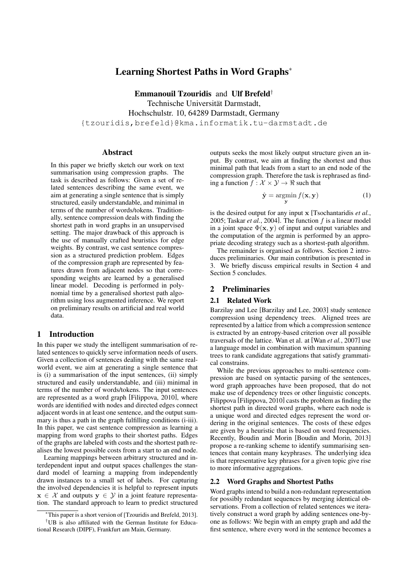# Learning Shortest Paths in Word Graphs<sup>∗</sup>

Emmanouil Tzouridis and Ulf Brefeld†

Technische Universität Darmstadt,

Hochschulstr. 10, 64289 Darmstadt, Germany

{tzouridis,brefeld}@kma.informatik.tu-darmstadt.de

#### Abstract

In this paper we briefly sketch our work on text summarisation using compression graphs. The task is described as follows: Given a set of related sentences describing the same event, we aim at generating a single sentence that is simply structured, easily understandable, and minimal in terms of the number of words/tokens. Traditionally, sentence compression deals with finding the shortest path in word graphs in an unsupervised setting. The major drawback of this approach is the use of manually crafted heuristics for edge weights. By contrast, we cast sentence compression as a structured prediction problem. Edges of the compression graph are represented by features drawn from adjacent nodes so that corresponding weights are learned by a generalised linear model. Decoding is performed in polynomial time by a generalised shortest path algorithm using loss augmented inference. We report on preliminary results on artificial and real world data.

## 1 Introduction

In this paper we study the intelligent summarisation of related sentences to quickly serve information needs of users. Given a collection of sentences dealing with the same realworld event, we aim at generating a single sentence that is (i) a summarisation of the input sentences, (ii) simply structured and easily understandable, and (iii) minimal in terms of the number of words/tokens. The input sentences are represented as a word graph [Filippova, 2010], where words are identified with nodes and directed edges connect adjacent words in at least one sentence, and the output summary is thus a path in the graph fulfilling conditions (i-iii). In this paper, we cast sentence compression as learning a mapping from word graphs to their shortest paths. Edges of the graphs are labeled with costs and the shortest path realises the lowest possible costs from a start to an end node.

Learning mappings between arbitrary structured and interdependent input and output spaces challenges the standard model of learning a mapping from independently drawn instances to a small set of labels. For capturing the involved dependencies it is helpful to represent inputs  $x \in \mathcal{X}$  and outputs  $y \in \mathcal{Y}$  in a joint feature representation. The standard approach to learn to predict structured outputs seeks the most likely output structure given an input. By contrast, we aim at finding the shortest and thus minimal path that leads from a start to an end node of the compression graph. Therefore the task is rephrased as finding a function  $f : \mathcal{X} \times \mathcal{Y} \rightarrow \mathbb{R}$  such that

$$
\hat{\mathbf{y}} = \operatorname*{argmin}_{\mathbf{y}} f(\mathbf{x}, \mathbf{y})
$$
 (1)

is the desired output for any input x [Tsochantaridis *et al.*, 2005; Taskar *et al.*, 2004]. The function  $f$  is a linear model in a joint space  $\Phi(\mathbf{x}, \mathbf{y})$  of input and output variables and the computation of the argmin is performed by an appropriate decoding strategy such as a shortest-path algorithm.

The remainder is organised as follows. Section 2 introduces preliminaries. Our main contribution is presented in 3. We briefly discuss empirical results in Section 4 and Section 5 concludes.

# 2 Preliminaries

## 2.1 Related Work

Barzilay and Lee [Barzilay and Lee, 2003] study sentence compression using dependency trees. Aligned trees are represented by a lattice from which a compression sentence is extracted by an entropy-based criterion over all possible traversals of the lattice. Wan et al. at [Wan *et al.*, 2007] use a language model in combination with maximum spanning trees to rank candidate aggregations that satisfy grammatical constrains.

While the previous approaches to multi-sentence compression are based on syntactic parsing of the sentences, word graph approaches have been proposed, that do not make use of dependency trees or other linguistic concepts. Filippova [Filippova, 2010] casts the problem as finding the shortest path in directed word graphs, where each node is a unique word and directed edges represent the word ordering in the original sentences. The costs of these edges are given by a heuristic that is based on word frequencies. Recently, Boudin and Morin [Boudin and Morin, 2013] propose a re-ranking scheme to identify summarising sentences that contain many keyphrases. The underlying idea is that representative key phrases for a given topic give rise to more informative aggregations.

#### 2.2 Word Graphs and Shortest Paths

Word graphs intend to build a non-redundant representation for possibly redundant sequences by merging identical observations. From a collection of related sentences we iteratively construct a word graph by adding sentences one-byone as follows: We begin with an empty graph and add the first sentence, where every word in the sentence becomes a

<sup>∗</sup>This paper is a short version of [Tzouridis and Brefeld, 2013]. †UB is also affiliated with the German Institute for Educational Research (DIPF), Frankfurt am Main, Germany.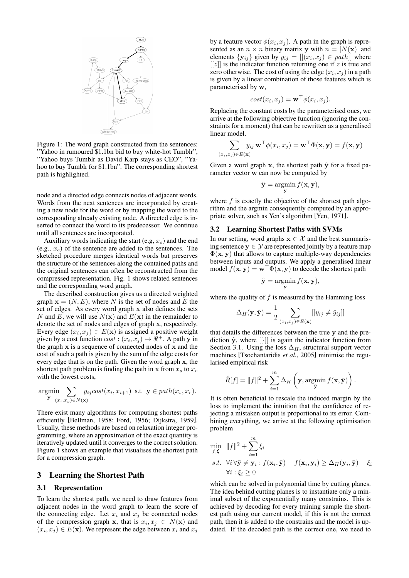

Figure 1: The word graph constructed from the sentences: "Yahoo in rumoured \$1.1bn bid to buy white-hot Tumblr", "Yahoo buys Tumblr as David Karp stays as CEO", "Yahoo to buy Tumblr for \$1.1bn". The corresponding shortest path is highlighted.

node and a directed edge connects nodes of adjacent words. Words from the next sentences are incorporated by creating a new node for the word or by mapping the word to the corresponding already existing node. A directed edge is inserted to connect the word to its predecessor. We continue until all sentences are incorporated.

Auxiliary words indicating the start (e.g,  $x_s$ ) and the end (e.g.,  $x_e$ ) of the sentence are added to the sentences. The sketched procedure merges identical words but preserves the structure of the sentences along the contained paths and the original sentences can often be reconstructed from the compressed representation. Fig. 1 shows related sentences and the corresponding word graph.

The described construction gives us a directed weighted graph  $x = (N, E)$ , where N is the set of nodes and E the set of edges. As every word graph x also defines the sets N and E, we will use  $N(\mathbf{x})$  and  $E(\mathbf{x})$  in the remainder to denote the set of nodes and edges of graph x, respectively. Every edge  $(x_i, x_j) \in E(\mathbf{x})$  is assigned a positive weight given by a cost function  $cost : (x_i, x_j) \mapsto \overline{\mathfrak{R}}^+$ . A path y in the graph  $x$  is a sequence of connected nodes of  $x$  and the cost of such a path is given by the sum of the edge costs for every edge that is on the path. Given the word graph x, the shortest path problem is finding the path in  $x$  from  $x_s$  to  $x_e$ with the lowest costs,

$$
\underset{\mathbf{y}}{\text{argmin}} \sum_{(x_i, x_y) \in N(\mathbf{x})} y_{ij} cost(x_i, x_{i+1}) \text{ s.t. } \mathbf{y} \in path(x_s, x_e).
$$

There exist many algorithms for computing shortest paths efficiently [Bellman, 1958; Ford, 1956; Dijkstra, 1959]. Usually, these methods are based on relaxation integer programming, where an approximation of the exact quantity is iteratively updated until it converges to the correct solution. Figure 1 shows an example that visualises the shortest path for a compression graph.

#### 3 Learning the Shortest Path

### 3.1 Representation

To learn the shortest path, we need to draw features from adjacent nodes in the word graph to learn the score of the connecting edge. Let  $x_i$  and  $x_j$  be connected nodes of the compression graph x, that is  $x_i, x_j \in N(\mathbf{x})$  and  $(x_i, x_j) \in E(\mathbf{x})$ . We represent the edge between  $x_i$  and  $x_j$ 

by a feature vector  $\phi(x_i, x_j)$ . A path in the graph is represented as an  $n \times n$  binary matrix y with  $n = |N(\mathbf{x})|$  and elements  $\{y_{ij}\}\$  given by  $y_{ij} = [[(x_i, x_j) \in path]]$  where  $[[z]]$  is the indicator function returning one if z is true and zero otherwise. The cost of using the edge  $(x_i, x_j)$  in a path is given by a linear combination of those features which is parameterised by w,

$$
cost(x_i, x_j) = \mathbf{w}^\top \phi(x_i, x_j).
$$

Replacing the constant costs by the parameterised ones, we arrive at the following objective function (ignoring the constraints for a moment) that can be rewritten as a generalised linear model.

$$
\sum_{(x_i, x_j) \in E(\mathbf{x})} y_{ij} \mathbf{w}^\top \phi(x_i, x_j) = \mathbf{w}^\top \Phi(\mathbf{x}, \mathbf{y}) = f(\mathbf{x}, \mathbf{y})
$$

Given a word graph x, the shortest path  $\hat{y}$  for a fixed parameter vector w can now be computed by

$$
\hat{\mathbf{y}} = \operatorname*{argmin}_{\mathbf{y}} f(\mathbf{x}, \mathbf{y}),
$$

where  $f$  is exactly the objective of the shortest path algorithm and the argmin consequently computed by an appropriate solver, such as Yen's algorithm [Yen, 1971].

# 3.2 Learning Shortest Paths with SVMs

In our setting, word graphs  $x \in \mathcal{X}$  and the best summarising sentence  $y \in \mathcal{Y}$  are represented jointly by a feature map  $\Phi(\mathbf{x}, \mathbf{y})$  that allows to capture multiple-way dependencies between inputs and outputs. We apply a generalised linear model  $f(\mathbf{x}, \mathbf{y}) = \mathbf{w}^\top \Phi(\mathbf{x}, \mathbf{y})$  to decode the shortest path

$$
\hat{\mathbf{y}} = \operatorname*{argmin}_{\mathbf{y}} f(\mathbf{x}, \mathbf{y}),
$$

where the quality of  $f$  is measured by the Hamming loss

$$
\Delta_H(\mathbf{y}, \hat{\mathbf{y}}) = \frac{1}{2} \sum_{(x_i, x_j) \in E(\mathbf{x})} [[y_{ij} \neq \hat{y}_{ij}]]
$$

that details the differences between the true y and the prediction  $\hat{y}$ , where [[·]] is again the indicator function from Section 3.1. Using the loss  $\Delta_H$ , structural support vector machines [Tsochantaridis *et al.*, 2005] minimise the regularised empirical risk

$$
\hat{R}[f] = ||f||^2 + \sum_{i=1}^m \Delta_H \left(\mathbf{y}, \operatorname*{argmin}_{\bar{\mathbf{y}}} f(\mathbf{x}, \bar{\mathbf{y}})\right).
$$

It is often beneficial to rescale the induced margin by the loss to implement the intuition that the confidence of rejecting a mistaken output is proportional to its error. Combining everything, we arrive at the following optimisation problem

$$
\min_{f,\boldsymbol{\xi}} \|f\|^2 + \sum_{i=1}^m \xi_i
$$
\n
$$
s.t. \ \forall i \forall \bar{\mathbf{y}} \neq \mathbf{y}_i : f(\mathbf{x}_i, \bar{\mathbf{y}}) - f(\mathbf{x}_i, \mathbf{y}_i) \ge \Delta_H(\mathbf{y}_i, \bar{\mathbf{y}}) - \xi_i
$$
\n
$$
\forall i : \xi_i \ge 0
$$

which can be solved in polynomial time by cutting planes. The idea behind cutting planes is to instantiate only a minimal subset of the exponentially many constrains. This is achieved by decoding for every training sample the shortest path using our current model, if this is not the correct path, then it is added to the constrains and the model is updated. If the decoded path is the correct one, we need to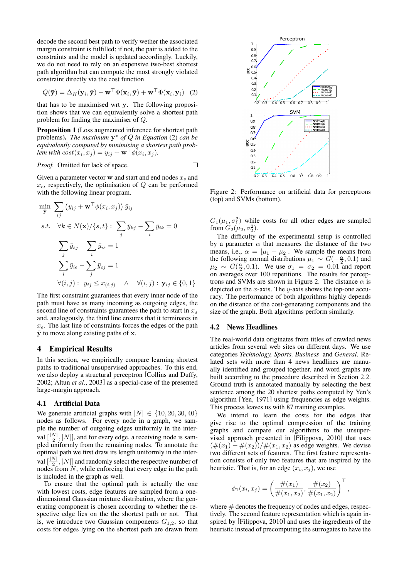decode the second best path to verify wether the associated margin constraint is fulfilled; if not, the pair is added to the constraints and the model is updated accordingly. Luckily, we do not need to rely on an expensive two-best shortest path algorithm but can compute the most strongly violated constraint directly via the cost function

$$
Q(\bar{\mathbf{y}}) = \Delta_H(\mathbf{y}_i, \bar{\mathbf{y}}) - \mathbf{w}^\top \Phi(\mathbf{x}_i, \bar{\mathbf{y}}) + \mathbf{w}^\top \Phi(\mathbf{x}_i, \mathbf{y}_i) \quad (2)
$$

that has to be maximised wrt y. The following proposition shows that we can equivalently solve a shortest path problem for finding the maximiser of Q.

Proposition 1 (Loss augmented inference for shortest path problems). *The maximum* y <sup>∗</sup> *of* Q *in Equation* (2) *can be equivalently computed by minimising a shortest path problem with*  $cost(x_i, x_j) = y_{ij} + \mathbf{w}^\top \phi(x_i, x_j)$ *.* 

*Proof.* Omitted for lack of space.

Given a parameter vector w and start and end nodes  $x_s$  and  $x_e$ , respectively, the optimisation of  $Q$  can be performed with the following linear program.

$$
\forall (j) = -\mu(y_i, y) \rightarrow \pm (\lambda_i, y) + \pm (\lambda_i, y) + \pm (\lambda_i, y) + \pm (\lambda_i, y) + \pm (\lambda_i, y) + \pm (\lambda_i, y) + \pm (\lambda_i, y) + \pm (\lambda_i, y) + \pm (\lambda_i, y) + \pm (\lambda_i, y) + \pm (\lambda_i, y) + \pm (\lambda_i, y) + \pm (\lambda_i, y) + \pm (\lambda_i, y) + \pm (\lambda_i, y) + \pm (\lambda_i, y) + \pm (\lambda_i, y) + \pm (\lambda_i, y) + \pm (\lambda_i, y) + \pm (\lambda_i, y) + \pm (\lambda_i, y) + \pm (\lambda_i, y) + \pm (\lambda_i, y) + \pm (\lambda_i, y) + \pm (\lambda_i, y) + \pm (\lambda_i, y) + \pm (\lambda_i, y) + \pm (\lambda_i, y) + \pm (\lambda_i, y) + \pm (\lambda_i, y) + \pm (\lambda_i, y) + \pm (\lambda_i, y) + \pm (\lambda_i, y) + \pm (\lambda_i, y) + \pm (\lambda_i, y) + \pm (\lambda_i, y) + \pm (\lambda_i, y) + \pm (\lambda_i, y) + \pm (\lambda_i, y) + \pm (\lambda_i, y) + \pm (\lambda_i, y) + \pm (\lambda_i, y) + \pm (\lambda_i, y) + \pm (\lambda_i, y) + \pm (\lambda_i, y) + \pm (\lambda_i, y) + \pm (\lambda_i, y) + \pm (\lambda_i, y) + \pm (\lambda_i, y) + \pm (\lambda_i, y) + \pm (\lambda_i, y) + \pm (\lambda_i, y) + \pm (\lambda_i, y) + \pm (\lambda_i, y) + \pm (\lambda_i, y) + \pm (\lambda_i, y) + \pm (\lambda_i, y) + \pm (\lambda_i, y) + \pm (\lambda_i, y) + \pm (\lambda_i, y) + \pm (\lambda_i, y) + \pm (\lambda_i, y) + \pm (\lambda_i, y) + \pm (\lambda_i, y) + \pm (\lambda_i, y) + \pm (\lambda_i, y) + \pm (\lambda_i, y) + \pm (\lambda_i, y) + \pm (\lambda_i, y) + \pm (\lambda_i, y) + \pm (\lambda_i, y) + \pm (\lambda_i, y) + \pm (\lambda_i, y) + \pm (\lambda_i, y) + \pm (\lambda_i, y) + \pm (\lambda_i, y) + \pm (\lambda_i, y) + \pm (\lambda_i, y) + \pm (\lambda_i, y) + \pm (\lambda_i, y) + \pm (\lambda_i, y) + \pm (\lambda_i, y) + \pm (\lambda_i,
$$

The first constraint guarantees that every inner node of the path must have as many incoming as outgoing edges, the second line of constraints guarantees the path to start in  $x_s$ and, analogously, the third line ensures that it terminates in  $x_e$ . The last line of constraints forces the edges of the path  $\bar{y}$  to move along existing paths of x.

## 4 Empirical Results

In this section, we empirically compare learning shortest paths to traditional unsupervised approaches. To this end, we also deploy a structural perceptron [Collins and Duffy, 2002; Altun *et al.*, 2003] as a special-case of the presented large-margin approach.

#### 4.1 Artificial Data

We generate artificial graphs with  $|N| \in \{10, 20, 30, 40\}$ nodes as follows. For every node in a graph, we sample the number of outgoing edges uniformly in the interval  $\left[\frac{|N|}{2}\right]$  $\frac{N}{2}$ , |N||, and for every edge, a receiving node is sampled uniformly from the remaining nodes. To annotate the optimal path we first draw its length uniformly in the interval  $\left[\frac{|N|}{2}\right]$  $\frac{N}{2}$ , |N|] and randomly select the respective number of nodes from  $N$ , while enforcing that every edge in the path is included in the graph as well.

To ensure that the optimal path is actually the one with lowest costs, edge features are sampled from a onedimensional Gaussian mixture distribution, where the generating component is chosen according to whether the respective edge lies on the the shortest path or not. That is, we introduce two Gaussian components  $G_{1,2}$ , so that



Figure 2: Performance on artificial data for perceptrons (top) and SVMs (bottom).

 $G_1(\mu_1, \sigma_1^2)$  while costs for all other edges are sampled from  $G_2(\mu_2, \sigma_2^2)$ .

The difficulty of the experimental setup is controlled by a parameter  $\alpha$  that measures the distance of the two means, i.e.,  $\alpha = |\mu_1 - \mu_2|$ . We sample the means from the following normal distributions  $\mu_1 \sim G(-\frac{\alpha}{2}, 0.1)$  and  $\mu_2 \sim G(\frac{\alpha}{2}, 0.1)$ . We use  $\sigma_1 = \sigma_2 = 0.01$  and report on averages over 100 repetitions. The results for perceptrons and SVMs are shown in Figure 2. The distance  $\alpha$  is depicted on the  $x$ -axis. The  $y$ -axis shows the top-one accuracy. The performance of both algorithms highly depends on the distance of the cost-generating components and the size of the graph. Both algorithms perform similarly.

## 4.2 News Headlines

The real-world data originates from titles of crawled news articles from several web sites on different days. We use categories *Technology, Sports, Business* and *General*. Related sets with more than 4 news headlines are manually identified and grouped together, and word graphs are built according to the procedure described in Section 2.2. Ground truth is annotated manually by selecting the best sentence among the 20 shortest paths computed by Yen's algorithm [Yen, 1971] using frequencies as edge weights. This process leaves us with 87 training examples.

We intend to learn the costs for the edges that give rise to the optimal compression of the training graphs and compare our algorithms to the unsupervised approach presented in [Filippova, 2010] that uses  $(\#(x_1) + \#(x_2)) / \#(x_1, x_2)$  as edge weights. We devise two different sets of features. The first feature representation consists of only two features that are inspired by the heuristic. That is, for an edge  $(x_i, x_j)$ , we use

$$
\phi_1(x_i, x_j) = \left(\frac{\#(x_1)}{\#(x_1, x_2)}, \frac{\#(x_2)}{\#(x_1, x_2)}\right)^\top,
$$

where  $#$  denotes the frequency of nodes and edges, respectively. The second feature representation which is again inspired by [Filippova, 2010] and uses the ingredients of the heuristic instead of precomputing the surrogates to have the